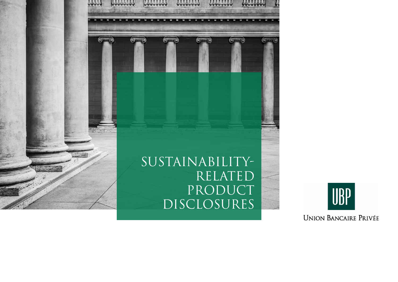

 $($ 

# Sustainability-**RELATED** PRODUCT DISCLOSURES

 $($ 

 $\mathcal{L}(\mathbf{0})$ 

 $\circledcirc$ 

 $($   $($   $)$   $\cdots$   $($   $)$ 



**UNION BANCAIRE PRIVÉE**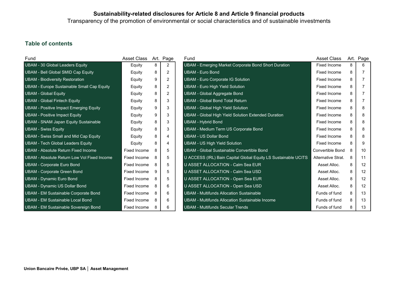Transparency of the promotion of environmental or social characteristics and of sustainable investments

# Table of contents

| Fund                                              | Asset Class  |   | Art. Page      | Fund |                                                                | <b>Asset Class</b>  |   | Art. Page |
|---------------------------------------------------|--------------|---|----------------|------|----------------------------------------------------------------|---------------------|---|-----------|
| UBAM - 30 Global Leaders Equity                   | Equity       | 8 | $\overline{2}$ |      | UBAM - Emerging Market Corporate Bond Short Duration           | <b>Fixed Income</b> | 8 | 6         |
| UBAM - Bell Global SMID Cap Equity                | Equity       | 8 | $\overline{2}$ |      | <b>UBAM - Euro Bond</b>                                        | Fixed Income        | 8 |           |
| <b>UBAM - Biodiversity Restoration</b>            | Equity       | 9 | 2              |      | <b>UBAM - Euro Corporate IG Solution</b>                       | <b>Fixed Income</b> | 8 |           |
| <b>UBAM - Europe Sustainable Small Cap Equity</b> | Equity       | 8 | 2              |      | <b>UBAM - Euro High Yield Solution</b>                         | Fixed Income        | 8 |           |
| <b>UBAM - Global Equity</b>                       | Equity       | 8 | 2              |      | <b>UBAM - Global Aggregate Bond</b>                            | Fixed Income        | 8 |           |
| <b>UBAM - Global Fintech Equity</b>               | Equity       | 8 | 3              |      | UBAM - Global Bond Total Return                                | Fixed Income        | 8 |           |
| <b>UBAM - Positive Impact Emerging Equity</b>     | Equity       | 9 | 3              |      | <b>UBAM - Global High Yield Solution</b>                       | Fixed Income        | 8 |           |
| <b>UBAM</b> - Positive Impact Equity              | Equity       | 9 | 3              |      | UBAM - Global High Yield Solution Extended Duration            | Fixed Income        | 8 |           |
| UBAM - SNAM Japan Equity Sustainable              | Equity       | 8 | 3              |      | UBAM - Hybrid Bond                                             | Fixed Income        | 8 |           |
| <b>UBAM - Swiss Equity</b>                        | Equity       | 8 | 3              |      | UBAM - Medium Term US Corporate Bond                           | Fixed Income        | 8 |           |
| <b>UBAM - Swiss Small and Mid Cap Equity</b>      | Equity       | 8 | 4              |      | <b>UBAM - US Dollar Bond</b>                                   | Fixed Income        | 8 |           |
| UBAM - Tech Global Leaders Equity                 | Equity       | 8 | 4              |      | <b>UBAM - US High Yield Solution</b>                           | Fixed Income        | 8 | 9         |
| UBAM - Absolute Return Fixed Income               | Fixed Income | 8 | 5              |      | UBAM - Global Sustainable Convertible Bond                     | Convertible Bond    | 8 | 10        |
| UBAM - Absolute Return Low Vol Fixed Income       | Fixed Income | 8 | 5              |      | U ACCESS (IRL) Bain Capital Global Equity LS Sustainable UCITS | Alternative Strat.  | 8 | 11        |
| <b>UBAM - Corporate Euro Bond</b>                 | Fixed Income | 8 | 5              |      | U ASSET ALLOCATION - Calm Sea EUR                              | Asset Alloc.        | 8 | 12        |
| <b>UBAM - Corporate Green Bond</b>                | Fixed Income | 9 | 5              |      | U ASSET ALLOCATION - Calm Sea USD                              | Asset Alloc.        | 8 | 12        |
| UBAM - Dynamic Euro Bond                          | Fixed Income | 8 | 5              |      | U ASSET ALLOCATION - Open Sea EUR                              | Asset Alloc.        | 8 | 12        |
| UBAM - Dynamic US Dollar Bond                     | Fixed Income | 8 | 6              |      | U ASSET ALLOCATION - Open Sea USD                              | Asset Alloc.        | 8 | 12        |
| UBAM - EM Sustainable Corporate Bond              | Fixed Income | 8 | 6              |      | UBAM - Multifunds Allocation Sustainable                       | Funds of fund       | 8 | 13        |
| UBAM - EM Sustainable Local Bond                  | Fixed Income | 8 | 6              |      | UBAM - Multifunds Allocation Sustainable Income                | Funds of fund       | 8 | 13        |
| UBAM - EM Sustainable Sovereign Bond              | Fixed Income | 8 | 6              |      | <b>UBAM - Multifunds Secular Trends</b>                        | Funds of fund       | 8 | 13        |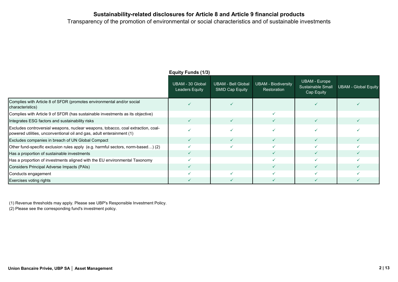Transparency of the promotion of environmental or social characteristics and of sustainable investments

|                                                                                                                                                           | Equity Funds (1/3)                 |                                                     |                                                  |                                                         |                             |  |
|-----------------------------------------------------------------------------------------------------------------------------------------------------------|------------------------------------|-----------------------------------------------------|--------------------------------------------------|---------------------------------------------------------|-----------------------------|--|
|                                                                                                                                                           | UBAM - 30 Global<br>Leaders Equity | <b>UBAM - Bell Global</b><br><b>SMID Cap Equity</b> | <b>UBAM - Biodiversity</b><br><b>Restoration</b> | <b>UBAM - Europe</b><br>Sustainable Small<br>Cap Equity | <b>UBAM - Global Equity</b> |  |
| Complies with Article 8 of SFDR (promotes environmental and/or social<br>characteristics)                                                                 |                                    |                                                     |                                                  |                                                         |                             |  |
| Complies with Article 9 of SFDR (has sustainable investments as its objective)                                                                            |                                    |                                                     |                                                  |                                                         |                             |  |
| Integrates ESG factors and sustainability risks                                                                                                           | $\checkmark$                       |                                                     |                                                  |                                                         |                             |  |
| Excludes controversial weapons, nuclear weapons, tobacco, coal extraction, coal-<br>(1) powered utilities, unconventional oil and gas, adult enterainment |                                    |                                                     |                                                  |                                                         |                             |  |
| Excludes companies in breach of UN Global Compact                                                                                                         | ✓                                  |                                                     |                                                  |                                                         |                             |  |
| Other fund-specific exclusion rules apply (e.g. harmful sectors, norm-based) (2)                                                                          |                                    |                                                     |                                                  |                                                         |                             |  |
| Has a proportion of sustainable investments                                                                                                               |                                    |                                                     |                                                  |                                                         |                             |  |
| Has a proportion of investments aligned with the EU environmental Taxonomy                                                                                |                                    |                                                     |                                                  |                                                         |                             |  |
| Considers Principal Adverse Impacts (PAIs)                                                                                                                | $\checkmark$                       |                                                     |                                                  |                                                         |                             |  |
| Conducts engagement                                                                                                                                       |                                    |                                                     |                                                  |                                                         |                             |  |
| Exercises voting rights                                                                                                                                   |                                    |                                                     |                                                  |                                                         |                             |  |

Equity Funds (1/3)

(1) Revenue thresholds may apply. Please see UBP's Responsible Investment Policy.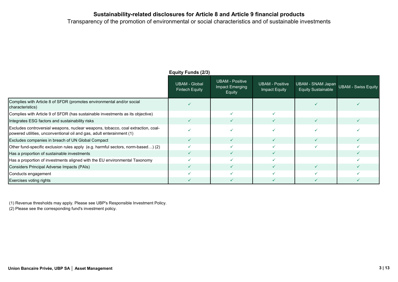Transparency of the promotion of environmental or social characteristics and of sustainable investments

|                                                                                                                                                           | Equity Funds (2/3)                     |                                              |                                         |                                                                    |   |  |
|-----------------------------------------------------------------------------------------------------------------------------------------------------------|----------------------------------------|----------------------------------------------|-----------------------------------------|--------------------------------------------------------------------|---|--|
|                                                                                                                                                           | <b>UBAM - Global</b><br>Fintech Equity | UBAM - Positive<br>Impact Emerging<br>Equity | <b>UBAM - Positive</b><br>Impact Equity | UBAM - SNAM Japan UBAM - Swiss Equity<br><b>Equity Sustainable</b> |   |  |
| Complies with Article 8 of SFDR (promotes environmental and/or social<br>characteristics)                                                                 |                                        |                                              |                                         |                                                                    |   |  |
| Complies with Article 9 of SFDR (has sustainable investments as its objective)                                                                            |                                        |                                              |                                         |                                                                    |   |  |
| Integrates ESG factors and sustainability risks                                                                                                           | $\checkmark$                           |                                              | $\checkmark$                            |                                                                    | ✓ |  |
| Excludes controversial weapons, nuclear weapons, tobacco, coal extraction, coal-<br>powered utilities, unconventional oil and gas, adult enterainment (1) |                                        |                                              |                                         |                                                                    |   |  |
| Excludes companies in breach of UN Global Compact                                                                                                         | $\checkmark$                           |                                              |                                         |                                                                    |   |  |
| Other fund-specific exclusion rules apply (e.g. harmful sectors, norm-based) (2)                                                                          |                                        |                                              |                                         |                                                                    |   |  |
| Has a proportion of sustainable investments                                                                                                               |                                        |                                              |                                         |                                                                    |   |  |
| Has a proportion of investments aligned with the EU environmental Taxonomy                                                                                |                                        |                                              |                                         |                                                                    |   |  |
| Considers Principal Adverse Impacts (PAIs)                                                                                                                | $\sqrt{}$                              |                                              | ✓                                       |                                                                    |   |  |
| Conducts engagement                                                                                                                                       |                                        |                                              |                                         |                                                                    |   |  |
| Exercises voting rights                                                                                                                                   |                                        |                                              |                                         |                                                                    |   |  |

Equity Funds (2/3)

(1) Revenue thresholds may apply. Please see UBP's Responsible Investment Policy.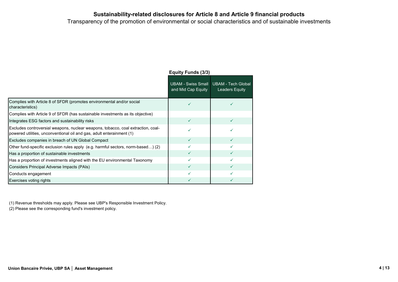Transparency of the promotion of environmental or social characteristics and of sustainable investments

|                                                                                                                                                           | <b>Equity Funds (3/3)</b>                       |                                                    |  |  |
|-----------------------------------------------------------------------------------------------------------------------------------------------------------|-------------------------------------------------|----------------------------------------------------|--|--|
|                                                                                                                                                           | <b>UBAM - Swiss Small</b><br>and Mid Cap Equity | <b>UBAM - Tech Global</b><br><b>Leaders Equity</b> |  |  |
| Complies with Article 8 of SFDR (promotes environmental and/or social<br>characteristics)                                                                 |                                                 |                                                    |  |  |
| Complies with Article 9 of SFDR (has sustainable investments as its objective)                                                                            |                                                 |                                                    |  |  |
| Integrates ESG factors and sustainability risks                                                                                                           | ✓                                               | ✓                                                  |  |  |
| Excludes controversial weapons, nuclear weapons, tobacco, coal extraction, coal-<br>powered utilities, unconventional oil and gas, adult enterainment (1) |                                                 |                                                    |  |  |
| Excludes companies in breach of UN Global Compact                                                                                                         | $\checkmark$                                    | ✓                                                  |  |  |
| Other fund-specific exclusion rules apply (e.g. harmful sectors, norm-based) (2)                                                                          |                                                 | $\checkmark$                                       |  |  |
| Has a proportion of sustainable investments                                                                                                               | $\checkmark$                                    | $\checkmark$                                       |  |  |
| Has a proportion of investments aligned with the EU environmental Taxonomy                                                                                | ✓                                               | ✓                                                  |  |  |
| Considers Principal Adverse Impacts (PAIs)                                                                                                                | $\checkmark$                                    | ✓                                                  |  |  |
| Conducts engagement                                                                                                                                       |                                                 |                                                    |  |  |
| Exercises voting rights                                                                                                                                   | ✓                                               | ✓                                                  |  |  |

(1) Revenue thresholds may apply. Please see UBP's Responsible Investment Policy.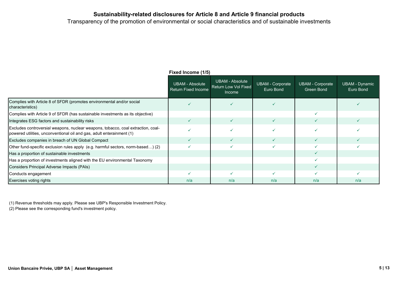Transparency of the promotion of environmental or social characteristics and of sustainable investments

|                                                                                                                                                           | Fixed Income (1/5)                                   |                                                                        |                                      |                                       |                             |  |
|-----------------------------------------------------------------------------------------------------------------------------------------------------------|------------------------------------------------------|------------------------------------------------------------------------|--------------------------------------|---------------------------------------|-----------------------------|--|
|                                                                                                                                                           | <b>UBAM - Absolute</b><br><b>Return Fixed Income</b> | <b>UBAM - Absolute</b><br><b>Return Low Vol Fixed</b><br><b>Income</b> | <b>UBAM - Corporate</b><br>Euro Bond | <b>UBAM - Corporate</b><br>Green Bond | UBAM - Dynamic<br>Euro Bond |  |
| Complies with Article 8 of SFDR (promotes environmental and/or social<br>characteristics)                                                                 |                                                      |                                                                        |                                      |                                       |                             |  |
| Complies with Article 9 of SFDR (has sustainable investments as its objective)                                                                            |                                                      |                                                                        |                                      |                                       |                             |  |
| Integrates ESG factors and sustainability risks                                                                                                           | $\checkmark$                                         |                                                                        |                                      |                                       |                             |  |
| Excludes controversial weapons, nuclear weapons, tobacco, coal extraction, coal-<br>(1) powered utilities, unconventional oil and gas, adult enterainment |                                                      |                                                                        |                                      |                                       |                             |  |
| Excludes companies in breach of UN Global Compact                                                                                                         | $\checkmark$                                         |                                                                        |                                      |                                       |                             |  |
| Other fund-specific exclusion rules apply (e.g. harmful sectors, norm-based) (2)                                                                          | $\checkmark$                                         |                                                                        |                                      |                                       |                             |  |
| Has a proportion of sustainable investments                                                                                                               |                                                      |                                                                        |                                      |                                       |                             |  |
| Has a proportion of investments aligned with the EU environmental Taxonomy                                                                                |                                                      |                                                                        |                                      |                                       |                             |  |
| Considers Principal Adverse Impacts (PAIs)                                                                                                                |                                                      |                                                                        |                                      |                                       |                             |  |
| Conducts engagement                                                                                                                                       |                                                      |                                                                        |                                      |                                       |                             |  |
| Exercises voting rights                                                                                                                                   | n/a                                                  | n/a                                                                    | n/a                                  | n/a                                   | n/a                         |  |

(1) Revenue thresholds may apply. Please see UBP's Responsible Investment Policy.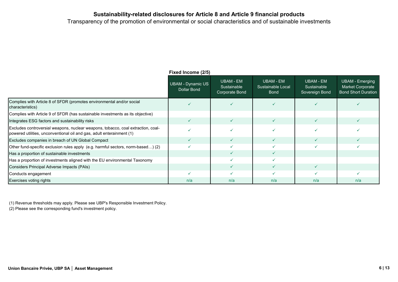Transparency of the promotion of environmental or social characteristics and of sustainable investments

|                                                                                                                                                           | Fixed Income (2/5)               |                                            |                                               |                                                   |                                                                                 |  |
|-----------------------------------------------------------------------------------------------------------------------------------------------------------|----------------------------------|--------------------------------------------|-----------------------------------------------|---------------------------------------------------|---------------------------------------------------------------------------------|--|
|                                                                                                                                                           | UBAM - Dynamic US<br>Dollar Bond | UBAM - EM<br>Sustainable<br>Corporate Bond | UBAM - EM<br>Sustainable Local<br><b>Bond</b> | <b>UBAM - EM</b><br>Sustainable<br>Sovereign Bond | <b>UBAM - Emerging</b><br><b>Market Corporate</b><br><b>Bond Short Duration</b> |  |
| Complies with Article 8 of SFDR (promotes environmental and/or social<br>characteristics)                                                                 |                                  |                                            |                                               |                                                   |                                                                                 |  |
| Complies with Article 9 of SFDR (has sustainable investments as its objective)                                                                            |                                  |                                            |                                               |                                                   |                                                                                 |  |
| Integrates ESG factors and sustainability risks                                                                                                           | ✓                                |                                            | ✓                                             |                                                   |                                                                                 |  |
| Excludes controversial weapons, nuclear weapons, tobacco, coal extraction, coal-<br>powered utilities, unconventional oil and gas, adult enterainment (1) |                                  |                                            |                                               |                                                   |                                                                                 |  |
| Excludes companies in breach of UN Global Compact                                                                                                         | ✓                                |                                            |                                               |                                                   |                                                                                 |  |
| Other fund-specific exclusion rules apply (e.g. harmful sectors, norm-based) (2)                                                                          | $\checkmark$                     |                                            |                                               |                                                   |                                                                                 |  |
| Has a proportion of sustainable investments                                                                                                               |                                  |                                            | ✓                                             |                                                   |                                                                                 |  |
| Has a proportion of investments aligned with the EU environmental Taxonomy                                                                                |                                  |                                            |                                               |                                                   |                                                                                 |  |
| Considers Principal Adverse Impacts (PAIs)                                                                                                                |                                  |                                            |                                               |                                                   |                                                                                 |  |
| Conducts engagement                                                                                                                                       |                                  |                                            |                                               |                                                   |                                                                                 |  |
| Exercises voting rights                                                                                                                                   | n/a                              | n/a                                        | n/a                                           | n/a                                               | n/a                                                                             |  |

(1) Revenue thresholds may apply. Please see UBP's Responsible Investment Policy.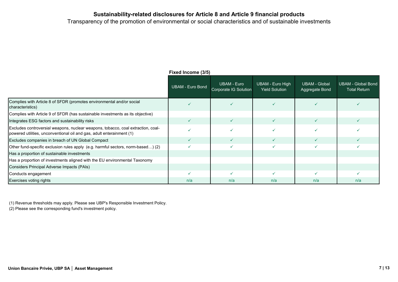Transparency of the promotion of environmental or social characteristics and of sustainable investments

|                                                                                                                                                           | $1$ IAGU IIIUUIIIG (JIJ) |                                             |                                           |                                        |                                                  |  |
|-----------------------------------------------------------------------------------------------------------------------------------------------------------|--------------------------|---------------------------------------------|-------------------------------------------|----------------------------------------|--------------------------------------------------|--|
|                                                                                                                                                           | UBAM - Euro Bond         | <b>UBAM - Euro</b><br>Corporate IG Solution | UBAM - Euro High<br><b>Yield Solution</b> | <b>UBAM - Global</b><br>Aggregate Bond | <b>UBAM - Global Bond</b><br><b>Total Return</b> |  |
| Complies with Article 8 of SFDR (promotes environmental and/or social<br>characteristics)                                                                 |                          |                                             |                                           |                                        |                                                  |  |
| Complies with Article 9 of SFDR (has sustainable investments as its objective)                                                                            |                          |                                             |                                           |                                        |                                                  |  |
| Integrates ESG factors and sustainability risks                                                                                                           | $\checkmark$             |                                             | ✓                                         |                                        |                                                  |  |
| Excludes controversial weapons, nuclear weapons, tobacco, coal extraction, coal-<br>powered utilities, unconventional oil and gas, adult enterainment (1) |                          |                                             |                                           |                                        |                                                  |  |
| Excludes companies in breach of UN Global Compact                                                                                                         | ✓                        |                                             |                                           |                                        |                                                  |  |
| Other fund-specific exclusion rules apply (e.g. harmful sectors, norm-based) (2)                                                                          |                          |                                             |                                           |                                        |                                                  |  |
| Has a proportion of sustainable investments                                                                                                               |                          |                                             |                                           |                                        |                                                  |  |
| Has a proportion of investments aligned with the EU environmental Taxonomy                                                                                |                          |                                             |                                           |                                        |                                                  |  |
| Considers Principal Adverse Impacts (PAIs)                                                                                                                |                          |                                             |                                           |                                        |                                                  |  |
| Conducts engagement                                                                                                                                       |                          |                                             |                                           |                                        |                                                  |  |
| Exercises voting rights                                                                                                                                   | n/a                      | n/a                                         | n/a                                       | n/a                                    | n/a                                              |  |

Fixed Income (3/5)

(1) Revenue thresholds may apply. Please see UBP's Responsible Investment Policy.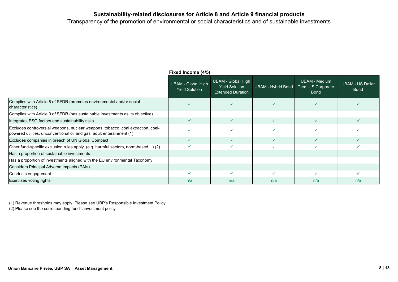Transparency of the promotion of environmental or social characteristics and of sustainable investments

|                                                                                                                                                           | Fixed Income (4/5)                                 |                                                                         |                    |                                                   |                                        |  |
|-----------------------------------------------------------------------------------------------------------------------------------------------------------|----------------------------------------------------|-------------------------------------------------------------------------|--------------------|---------------------------------------------------|----------------------------------------|--|
|                                                                                                                                                           | <b>UBAM - Global High</b><br><b>Yield Solution</b> | UBAM - Global High<br><b>Yield Solution</b><br><b>Extended Duration</b> | UBAM - Hybrid Bond | UBAM - Medium<br>Term US Corporate<br><b>Bond</b> | <b>UBAM - US Dollar</b><br><b>Bond</b> |  |
| Complies with Article 8 of SFDR (promotes environmental and/or social<br>characteristics)                                                                 |                                                    |                                                                         |                    |                                                   |                                        |  |
| Complies with Article 9 of SFDR (has sustainable investments as its objective)                                                                            |                                                    |                                                                         |                    |                                                   |                                        |  |
| Integrates ESG factors and sustainability risks                                                                                                           | ✓                                                  |                                                                         |                    |                                                   |                                        |  |
| Excludes controversial weapons, nuclear weapons, tobacco, coal extraction, coal-<br>(1) powered utilities, unconventional oil and gas, adult enterainment |                                                    |                                                                         |                    |                                                   |                                        |  |
| Excludes companies in breach of UN Global Compact                                                                                                         | $\checkmark$                                       |                                                                         |                    |                                                   |                                        |  |
| Other fund-specific exclusion rules apply (e.g. harmful sectors, norm-based) (2)                                                                          |                                                    |                                                                         |                    |                                                   |                                        |  |
| Has a proportion of sustainable investments                                                                                                               |                                                    |                                                                         |                    |                                                   |                                        |  |
| Has a proportion of investments aligned with the EU environmental Taxonomy                                                                                |                                                    |                                                                         |                    |                                                   |                                        |  |
| Considers Principal Adverse Impacts (PAIs)                                                                                                                |                                                    |                                                                         |                    |                                                   |                                        |  |
| Conducts engagement                                                                                                                                       |                                                    |                                                                         |                    |                                                   |                                        |  |
| Exercises voting rights                                                                                                                                   | n/a                                                | n/a                                                                     | n/a                | n/a                                               | n/a                                    |  |

(1) Revenue thresholds may apply. Please see UBP's Responsible Investment Policy.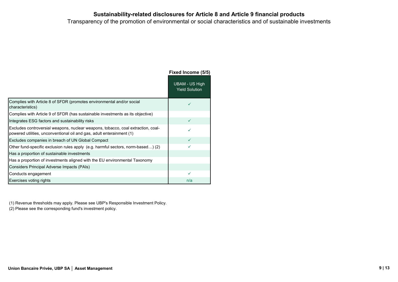Transparency of the promotion of environmental or social characteristics and of sustainable investments

|                                                                                                                                                           | Fixed Income (5/5)                      |
|-----------------------------------------------------------------------------------------------------------------------------------------------------------|-----------------------------------------|
|                                                                                                                                                           | UBAM - US High<br><b>Yield Solution</b> |
| Complies with Article 8 of SFDR (promotes environmental and/or social<br>characteristics)                                                                 | ✓                                       |
| Complies with Article 9 of SFDR (has sustainable investments as its objective)                                                                            |                                         |
| Integrates ESG factors and sustainability risks                                                                                                           | ✓                                       |
| Excludes controversial weapons, nuclear weapons, tobacco, coal extraction, coal-<br>powered utilities, unconventional oil and gas, adult enterainment (1) |                                         |
| Excludes companies in breach of UN Global Compact                                                                                                         | $\checkmark$                            |
| Other fund-specific exclusion rules apply (e.g. harmful sectors, norm-based) (2)                                                                          | ✓                                       |
| Has a proportion of sustainable investments                                                                                                               |                                         |
| Has a proportion of investments aligned with the EU environmental Taxonomy                                                                                |                                         |
| Considers Principal Adverse Impacts (PAIs)                                                                                                                |                                         |
| Conducts engagement                                                                                                                                       |                                         |
| Exercises voting rights                                                                                                                                   | n/a                                     |

(1) Revenue thresholds may apply. Please see UBP's Responsible Investment Policy.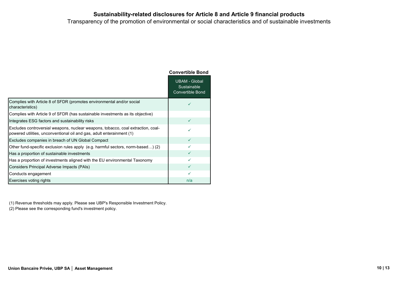Transparency of the promotion of environmental or social characteristics and of sustainable investments

|                                                                                                                                                           | <b>Convertible Bond</b>                                        |
|-----------------------------------------------------------------------------------------------------------------------------------------------------------|----------------------------------------------------------------|
|                                                                                                                                                           | <b>UBAM - Global</b><br>Sustainable<br><b>Convertible Bond</b> |
| Complies with Article 8 of SFDR (promotes environmental and/or social<br>characteristics)                                                                 | ✓                                                              |
| Complies with Article 9 of SFDR (has sustainable investments as its objective)                                                                            |                                                                |
| Integrates ESG factors and sustainability risks                                                                                                           | ✓                                                              |
| Excludes controversial weapons, nuclear weapons, tobacco, coal extraction, coal-<br>powered utilities, unconventional oil and gas, adult enterainment (1) | ✓                                                              |
| Excludes companies in breach of UN Global Compact                                                                                                         | ✓                                                              |
| Other fund-specific exclusion rules apply (e.g. harmful sectors, norm-based) (2)                                                                          | ✓                                                              |
| Has a proportion of sustainable investments                                                                                                               | ✓                                                              |
| Has a proportion of investments aligned with the EU environmental Taxonomy                                                                                | ✓                                                              |
| Considers Principal Adverse Impacts (PAIs)                                                                                                                | $\checkmark$                                                   |
| Conducts engagement                                                                                                                                       | ✓                                                              |
| Exercises voting rights                                                                                                                                   | n/a                                                            |

(1) Revenue thresholds may apply. Please see UBP's Responsible Investment Policy.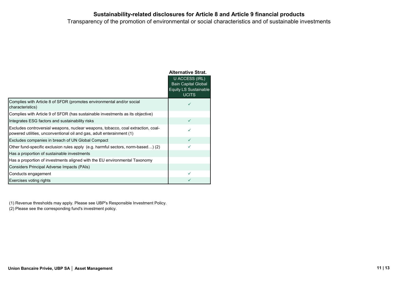Transparency of the promotion of environmental or social characteristics and of sustainable investments

|                                                                                                                                                           | <b>Alternative Strat.</b>                                                             |
|-----------------------------------------------------------------------------------------------------------------------------------------------------------|---------------------------------------------------------------------------------------|
|                                                                                                                                                           | U ACCESS (IRL)<br>Bain Capital Global<br><b>Equity LS Sustainable</b><br><b>UCITS</b> |
| Complies with Article 8 of SFDR (promotes environmental and/or social<br>characteristics)                                                                 | ✓                                                                                     |
| Complies with Article 9 of SFDR (has sustainable investments as its objective)                                                                            |                                                                                       |
| Integrates ESG factors and sustainability risks                                                                                                           | $\checkmark$                                                                          |
| Excludes controversial weapons, nuclear weapons, tobacco, coal extraction, coal-<br>powered utilities, unconventional oil and gas, adult enterainment (1) |                                                                                       |
| Excludes companies in breach of UN Global Compact                                                                                                         | $\checkmark$                                                                          |
| Other fund-specific exclusion rules apply (e.g. harmful sectors, norm-based) (2)                                                                          | ✓                                                                                     |
| Has a proportion of sustainable investments                                                                                                               |                                                                                       |
| Has a proportion of investments aligned with the EU environmental Taxonomy                                                                                |                                                                                       |
| Considers Principal Adverse Impacts (PAIs)                                                                                                                |                                                                                       |
| Conducts engagement                                                                                                                                       | ✓                                                                                     |
| Exercises voting rights                                                                                                                                   |                                                                                       |

(1) Revenue thresholds may apply. Please see UBP's Responsible Investment Policy.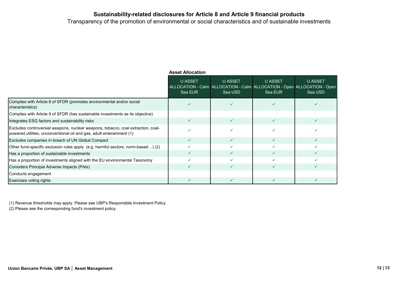Transparency of the promotion of environmental or social characteristics and of sustainable investments

|                                                                                                                                                           | <b>Asset Allocation</b> |                                                                                                      |                           |                    |  |  |  |
|-----------------------------------------------------------------------------------------------------------------------------------------------------------|-------------------------|------------------------------------------------------------------------------------------------------|---------------------------|--------------------|--|--|--|
|                                                                                                                                                           | U ASSET<br>Sea EUR      | <b>U ASSET</b><br>ALLOCATION - Calm ALLOCATION - Calm ALLOCATION - Open ALLOCATION - Open<br>Sea USD | <b>U ASSET</b><br>Sea EUR | U ASSET<br>Sea USD |  |  |  |
| Complies with Article 8 of SFDR (promotes environmental and/or social<br>characteristics)                                                                 |                         |                                                                                                      |                           |                    |  |  |  |
| Complies with Article 9 of SFDR (has sustainable investments as its objective)                                                                            |                         |                                                                                                      |                           |                    |  |  |  |
| Integrates ESG factors and sustainability risks                                                                                                           |                         | $\checkmark$                                                                                         | ✓                         |                    |  |  |  |
| Excludes controversial weapons, nuclear weapons, tobacco, coal extraction, coal-<br>(1) powered utilities, unconventional oil and gas, adult enterainment |                         |                                                                                                      |                           |                    |  |  |  |
| Excludes companies in breach of UN Global Compact                                                                                                         |                         |                                                                                                      | ✓                         |                    |  |  |  |
| Other fund-specific exclusion rules apply (e.g. harmful sectors, norm-based) (2)                                                                          |                         |                                                                                                      |                           |                    |  |  |  |
| Has a proportion of sustainable investments                                                                                                               |                         |                                                                                                      | ✓                         |                    |  |  |  |
| Has a proportion of investments aligned with the EU environmental Taxonomy                                                                                |                         |                                                                                                      |                           |                    |  |  |  |
| Considers Principal Adverse Impacts (PAIs)                                                                                                                |                         |                                                                                                      | ✓                         |                    |  |  |  |
| Conducts engagement                                                                                                                                       |                         |                                                                                                      |                           |                    |  |  |  |
| Exercises voting rights                                                                                                                                   |                         |                                                                                                      | ✓                         |                    |  |  |  |

(1) Revenue thresholds may apply. Please see UBP's Responsible Investment Policy.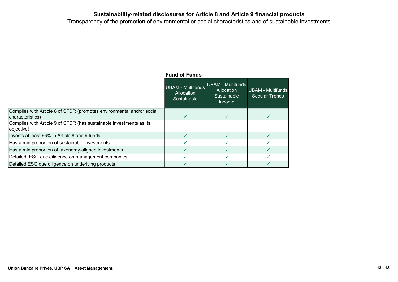Transparency of the promotion of environmental or social characteristics and of sustainable investments

|                                                                                           | <b>Fund of Funds</b>                                  |                                                                 |                                            |
|-------------------------------------------------------------------------------------------|-------------------------------------------------------|-----------------------------------------------------------------|--------------------------------------------|
|                                                                                           | <b>UBAM - Multifunds</b><br>Allocation<br>Sustainable | <b>UBAM - Multifunds</b><br>Allocation<br>Sustainable<br>Income | <b>UBAM - Multifunds</b><br>Secular Trends |
| Complies with Article 8 of SFDR (promotes environmental and/or social<br>characteristics) |                                                       |                                                                 |                                            |
| Complies with Article 9 of SFDR (has sustainable investments as its<br>objective)         |                                                       |                                                                 |                                            |
| Invests at least 66% in Article 8 and 9 funds                                             |                                                       | ✓                                                               |                                            |
| Has a min proportion of sustainable investments                                           |                                                       |                                                                 |                                            |
| Has a min proportion of taxonomy-aligned investments                                      |                                                       |                                                                 |                                            |
| Detailed ESG due diligence on management companies                                        |                                                       |                                                                 |                                            |
| Detailed ESG due diligence on underlying products                                         |                                                       |                                                                 |                                            |